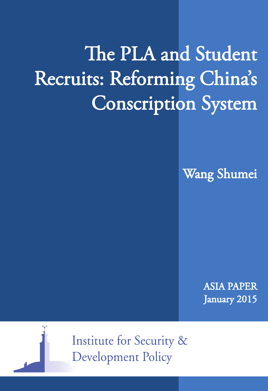# The PLA and Student Recruits: Reforming China's Conscription System

Wang Shumei

ASIA PAPER January 2015



**Institute for Security & Development Policy**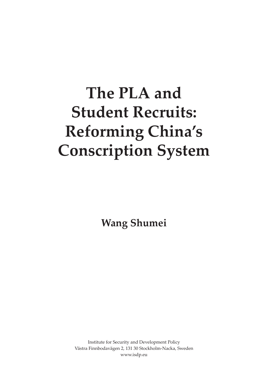## **The PLA and Student Recruits: Reforming China's Conscription System**

**Wang Shumei**

Institute for Security and Development Policy Västra Finnbodavägen 2, 131 30 Stockholm-Nacka, Sweden www.isdp.eu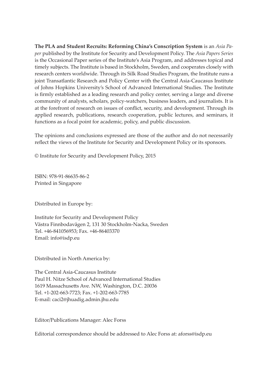**The PLA and Student Recruits: Reforming China's Conscription System** is an *Asia Paper* published by the Institute for Security and Development Policy. The *Asia Papers Series* is the Occasional Paper series of the Institute's Asia Program, and addresses topical and timely subjects. The Institute is based in Stockholm, Sweden, and cooperates closely with research centers worldwide. Through its Silk Road Studies Program, the Institute runs a joint Transatlantic Research and Policy Center with the Central Asia-Caucasus Institute of Johns Hopkins University's School of Advanced International Studies. The Institute is firmly established as a leading research and policy center, serving a large and diverse community of analysts, scholars, policy-watchers, business leaders, and journalists. It is at the forefront of research on issues of conflict, security, and development. Through its applied research, publications, research cooperation, public lectures, and seminars, it functions as a focal point for academic, policy, and public discussion.

The opinions and conclusions expressed are those of the author and do not necessarily reflect the views of the Institute for Security and Development Policy or its sponsors.

© Institute for Security and Development Policy, 2015

ISBN: 978-91-86635-86-2 Printed in Singapore

Distributed in Europe by:

Institute for Security and Development Policy Västra Finnbodavägen 2, 131 30 Stockholm-Nacka, Sweden Tel. +46-841056953; Fax. +46-86403370 Email: info@isdp.eu

Distributed in North America by:

The Central Asia-Caucasus Institute Paul H. Nitze School of Advanced International Studies 1619 Massachusetts Ave. NW, Washington, D.C. 20036 Tel. +1-202-663-7723; Fax. +1-202-663-7785 E-mail: caci2@jhuadig.admin.jhu.edu

Editor/Publications Manager: Alec Forss

Editorial correspondence should be addressed to Alec Forss at: aforss@isdp.eu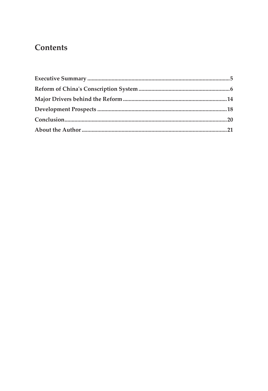## **Contents**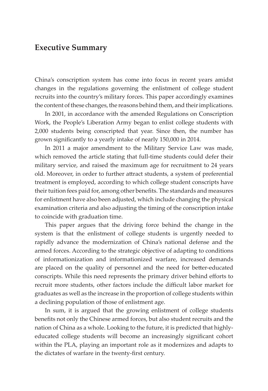### **Executive Summary**

China's conscription system has come into focus in recent years amidst changes in the regulations governing the enlistment of college student recruits into the country's military forces. This paper accordingly examines the content of these changes, the reasons behind them, and their implications.

In 2001, in accordance with the amended Regulations on Conscription Work, the People's Liberation Army began to enlist college students with 2,000 students being conscripted that year. Since then, the number has grown significantly to a yearly intake of nearly 150,000 in 2014.

In 2011 a major amendment to the Military Service Law was made, which removed the article stating that full-time students could defer their military service, and raised the maximum age for recruitment to 24 years old. Moreover, in order to further attract students, a system of preferential treatment is employed, according to which college student conscripts have their tuition fees paid for, among other benefits. The standards and measures for enlistment have also been adjusted, which include changing the physical examination criteria and also adjusting the timing of the conscription intake to coincide with graduation time.

This paper argues that the driving force behind the change in the system is that the enlistment of college students is urgently needed to rapidly advance the modernization of China's national defense and the armed forces. According to the strategic objective of adapting to conditions of informationization and informationized warfare, increased demands are placed on the quality of personnel and the need for better-educated conscripts. While this need represents the primary driver behind efforts to recruit more students, other factors include the difficult labor market for graduates as well as the increase in the proportion of college students within a declining population of those of enlistment age.

In sum, it is argued that the growing enlistment of college students benefits not only the Chinese armed forces, but also student recruits and the nation of China as a whole. Looking to the future, it is predicted that highlyeducated college students will become an increasingly significant cohort within the PLA, playing an important role as it modernizes and adapts to the dictates of warfare in the twenty-first century.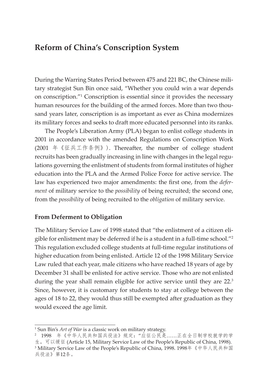## **Reform of China's Conscription System**

During the Warring States Period between 475 and 221 BC, the Chinese military strategist Sun Bin once said, "Whether you could win a war depends on conscription."1 Conscription is essential since it provides the necessary human resources for the building of the armed forces. More than two thousand years later, conscription is as important as ever as China modernizes its military forces and seeks to draft more educated personnel into its ranks.

The People's Liberation Army (PLA) began to enlist college students in 2001 in accordance with the amended Regulations on Conscription Work (2001 年《征兵工作条例》). Thereafter, the number of college student recruits has been gradually increasing in line with changes in the legal regulations governing the enlistment of students from formal institutes of higher education into the PLA and the Armed Police Force for active service. The law has experienced two major amendments: the first one, from the *deferment* of military service to the *possibility* of being recruited; the second one, from the *possibility* of being recruited to the *obligation* of military service.

#### **From Deferment to Obligation**

The Military Service Law of 1998 stated that "the enlistment of a citizen eligible for enlistment may be deferred if he is a student in a full-time school."2 This regulation excluded college students at full-time regular institutions of higher education from being enlisted. Article 12 of the 1998 Military Service Law ruled that each year, male citizens who have reached 18 years of age by December 31 shall be enlisted for active service. Those who are not enlisted during the year shall remain eligible for active service until they are 22.<sup>3</sup> Since, however, it is customary for students to stay at college between the ages of 18 to 22, they would thus still be exempted after graduation as they would exceed the age limit.

<sup>&</sup>lt;sup>1</sup> Sun Bin's *Art of War* is a classic work on military strategy.

<sup>2</sup> 1998 年《中华人民共和国兵役法》规定:"应征公民是……正在全日制学校就学的学 生,可以缓征 (Article 15, Military Service Law of the People's Republic of China, 1998). <sup>3</sup> Military Service Law of the People's Republic of China, 1998. 1998年《中华人民共和国 兵役法》第12条。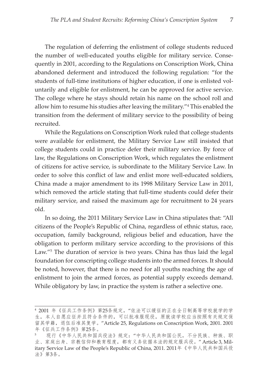The regulation of deferring the enlistment of college students reduced the number of well-educated youths eligible for military service. Consequently in 2001, according to the Regulations on Conscription Work, China abandoned deferment and introduced the following regulation: "for the students of full-time institutions of higher education, if one is enlisted voluntarily and eligible for enlistment, he can be approved for active service. The college where he stays should retain his name on the school roll and allow him to resume his studies after leaving the military."<sup>4</sup> This enabled the transition from the deferment of military service to the possibility of being recruited.

While the Regulations on Conscription Work ruled that college students were available for enlistment, the Military Service Law still insisted that college students could in practice defer their military service. By force of law, the Regulations on Conscription Work, which regulates the enlistment of citizens for active service, is subordinate to the Military Service Law. In order to solve this conflict of law and enlist more well-educated soldiers, China made a major amendment to its 1998 Military Service Law in 2011, which removed the article stating that full-time students could defer their military service, and raised the maximum age for recruitment to 24 years old.

In so doing, the 2011 Military Service Law in China stipulates that: "All citizens of the People's Republic of China, regardless of ethnic status, race, occupation, family background, religious belief and education, have the obligation to perform military service according to the provisions of this Law."<sup>5</sup> The duration of service is two years. China has thus laid the legal foundation for conscripting college students into the armed forces. It should be noted, however, that there is no need for all youths reaching the age of enlistment to join the armed forces, as potential supply exceeds demand. While obligatory by law, in practice the system is rather a selective one.

<sup>4</sup> 2001 年《征兵工作条例》第25条规定,"依法可以缓征的正在全日制高等学校就学的学 生,本人自愿应征并且符合条件的,可以批准服现役,原就读学校应当按照有关规定保 留其学籍,退伍后准其复学。"Article 25, Regulations on Conscription Work, 2001. 2001 年《征兵工作条例》第25条。

<sup>5</sup> 现行《中华人民共和国兵役法》规定:"中华人民共和国公民,不分民族、种族、职 业、家庭出身、宗教信仰和教育程度,都有义务依据本法的规定服兵役。" Article 3, Military Service Law of the People's Republic of China, 2011. 2011年《中华人民共和国兵役 法》第3条。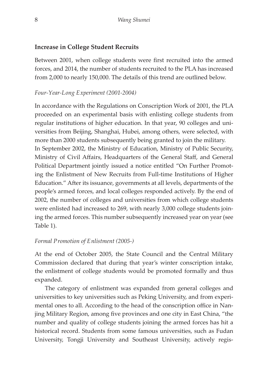#### **Increase in College Student Recruits**

Between 2001, when college students were first recruited into the armed forces, and 2014, the number of students recruited to the PLA has increased from 2,000 to nearly 150,000. The details of this trend are outlined below.

#### *Four-Year-Long Experiment (2001-2004)*

In accordance with the Regulations on Conscription Work of 2001, the PLA proceeded on an experimental basis with enlisting college students from regular institutions of higher education. In that year, 90 colleges and universities from Beijing, Shanghai, Hubei, among others, were selected, with more than 2000 students subsequently being granted to join the military. In September 2002, the Ministry of Education, Ministry of Public Security, Ministry of Civil Affairs, Headquarters of the General Staff, and General Political Department jointly issued a notice entitled "On Further Promoting the Enlistment of New Recruits from Full-time Institutions of Higher Education." After its issuance, governments at all levels, departments of the people's armed forces, and local colleges responded actively. By the end of 2002, the number of colleges and universities from which college students were enlisted had increased to 269, with nearly 3,000 college students joining the armed forces. This number subsequently increased year on year (see Table 1).

#### *Formal Promotion of Enlistment (2005-)*

At the end of October 2005, the State Council and the Central Military Commission declared that during that year's winter conscription intake, the enlistment of college students would be promoted formally and thus expanded.

The category of enlistment was expanded from general colleges and universities to key universities such as Peking University, and from experimental ones to all. According to the head of the conscription office in Nanjing Military Region, among five provinces and one city in East China, "the number and quality of college students joining the armed forces has hit a historical record. Students from some famous universities, such as Fudan University, Tongji University and Southeast University, actively regis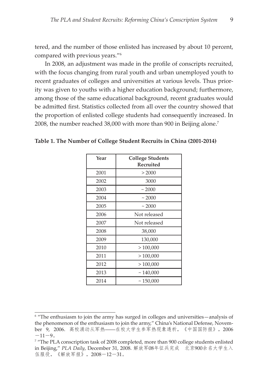tered, and the number of those enlisted has increased by about 10 percent, compared with previous years."6

In 2008, an adjustment was made in the profile of conscripts recruited, with the focus changing from rural youth and urban unemployed youth to recent graduates of colleges and universities at various levels. Thus priority was given to youths with a higher education background; furthermore, among those of the same educational background, recent graduates would be admitted first. Statistics collected from all over the country showed that the proportion of enlisted college students had consequently increased. In 2008, the number reached 38,000 with more than 900 in Beijing alone.<sup>7</sup>

| Year | <b>College Students</b><br><b>Recruited</b> |
|------|---------------------------------------------|
| 2001 | > 2000                                      |
| 2002 | 3000                                        |
| 2003 | ~2000                                       |
| 2004 | ~2000                                       |
| 2005 | ~2000                                       |
| 2006 | Not released                                |
| 2007 | Not released                                |
| 2008 | 38,000                                      |
| 2009 | 130,000                                     |
| 2010 | >100,000                                    |
| 2011 | >100,000                                    |
| 2012 | >100,000                                    |
| 2013 | ~140,000                                    |
| 2014 | ~150,000                                    |

**Table 1. The Number of College Student Recruits in China (2001-2014)**

<sup>&</sup>lt;sup>6</sup> "The enthusiasm to join the army has surged in colleges and universities—analysis of the phenomenon of the enthusiasm to join the army," China's National Defense, November 9, 2006. 高校涌动从军热――在校大学生参军热现象透析,《中国国防报》,2006  $-11-9$ 

<sup>7</sup> "The PLA conscription task of 2008 completed, more than 900 college students enlisted in Beijing," *PLA Daily*, December 31, 2008. 解放军08年征兵完成 北京900余名大学生入 伍服役, 《解放军报》, 2008-12-31。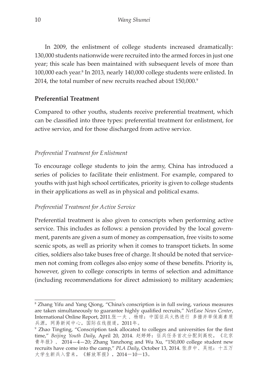In 2009, the enlistment of college students increased dramatically: 130,000 students nationwide were recruited into the armed forces in just one year; this scale has been maintained with subsequent levels of more than 100,000 each year.<sup>8</sup> In 2013, nearly 140,000 college students were enlisted. In 2014, the total number of new recruits reached about 150,000.<sup>9</sup>

#### **Preferential Treatment**

Compared to other youths, students receive preferential treatment, which can be classified into three types: preferential treatment for enlistment, for active service, and for those discharged from active service.

#### *Preferential Treatment for Enlistment*

To encourage college students to join the army, China has introduced a series of policies to facilitate their enlistment. For example, compared to youths with just high school certificates, priority is given to college students in their applications as well as in physical and political exams.

#### *Preferential Treatment for Active Service*

Preferential treatment is also given to conscripts when performing active service. This includes as follows: a pension provided by the local government, parents are given a sum of money as compensation, free visits to some scenic spots, as well as priority when it comes to transport tickets. In some cities, soldiers also take buses free of charge. It should be noted that servicemen not coming from colleges also enjoy some of these benefits. Priority is, however, given to college conscripts in terms of selection and admittance (including recommendations for direct admission) to military academies;

<sup>8</sup> Zhang Yifu and Yang Qiong, "China's conscription is in full swing, various measures are taken simultaneously to guarantee highly qualified recruits," *NetEase News Center*, International Online Report, 2011.张一夫 、杨琼:中国征兵火热进行 多措并举保高素质 兵源,网易新闻中心,国际在线报道,2011年。

<sup>9</sup>Zhao Tingting, "Conscription task allocated to colleges and universities for the first time," *Beijing Youth Daily*, April 20, 2014. 赵婷婷:征兵任务首次分配到高校,《北京 青年报》, 2014—4—20; Zhang Yanzhong and Wu Xu, "150,000 college student new recruits have come into the camp," *PLA Daily*, October 13, 2014. 张彦中、吴旭:十五万 大学生新兵入营来,《解放军报》,2014-10-13。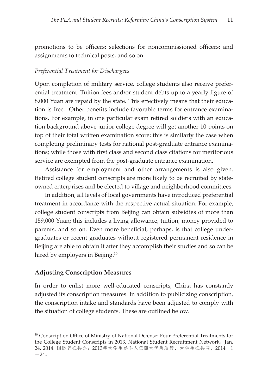promotions to be officers; selections for noncommissioned officers; and assignments to technical posts, and so on.

#### *Preferential Treatment for Dischargees*

Upon completion of military service, college students also receive preferential treatment. Tuition fees and/or student debts up to a yearly figure of 8,000 Yuan are repaid by the state. This effectively means that their education is free. Other benefits include favorable terms for entrance examinations. For example, in one particular exam retired soldiers with an education background above junior college degree will get another 10 points on top of their total written examination score; this is similarly the case when completing preliminary tests for national post-graduate entrance examinations; while those with first class and second class citations for meritorious service are exempted from the post-graduate entrance examination.

Assistance for employment and other arrangements is also given. Retired college student conscripts are more likely to be recruited by stateowned enterprises and be elected to village and neighborhood committees.

In addition, all levels of local governments have introduced preferential treatment in accordance with the respective actual situation. For example, college student conscripts from Beijing can obtain subsidies of more than 159,000 Yuan; this includes a living allowance, tuition, money provided to parents, and so on. Even more beneficial, perhaps, is that college undergraduates or recent graduates without registered permanent residence in Beijing are able to obtain it after they accomplish their studies and so can be hired by employers in Beijing.<sup>10</sup>

#### **Adjusting Conscription Measures**

In order to enlist more well-educated conscripts, China has constantly adjusted its conscription measures. In addition to publicizing conscription, the conscription intake and standards have been adjusted to comply with the situation of college students. These are outlined below.

<sup>&</sup>lt;sup>10</sup> Conscription Office of Ministry of National Defense: Four Preferential Treatments for the College Student Conscripts in 2013, National Student Recruitment Network, Jan. 24, 2014. 国防部征兵办: 2013年大学生参军入伍四大优惠政策,大学生征兵网, 2014-1  $-24.$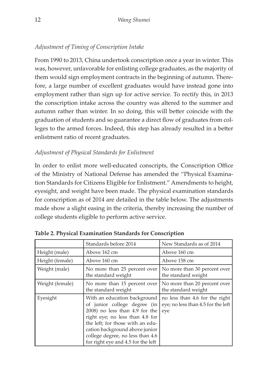#### *Adjustment of Timing of Conscription Intake*

From 1990 to 2013, China undertook conscription once a year in winter. This was, however, unfavorable for enlisting college graduates, as the majority of them would sign employment contracts in the beginning of autumn. Therefore, a large number of excellent graduates would have instead gone into employment rather than sign up for active service. To rectify this, in 2013 the conscription intake across the country was altered to the summer and autumn rather than winter. In so doing, this will better coincide with the graduation of students and so guarantee a direct flow of graduates from colleges to the armed forces. Indeed, this step has already resulted in a better enlistment ratio of recent graduates.

#### *Adjustment of Physical Standards for Enlistment*

In order to enlist more well-educated conscripts, the Conscription Office of the Ministry of National Defense has amended the "Physical Examination Standards for Citizens Eligible for Enlistment." Amendments to height, eyesight, and weight have been made. The physical examination standards for conscription as of 2014 are detailed in the table below. The adjustments made show a slight easing in the criteria, thereby increasing the number of college students eligible to perform active service.

|                 | Standards before 2014                                                                                                                                                                                                                                                             | New Standards as of 2014                                                    |
|-----------------|-----------------------------------------------------------------------------------------------------------------------------------------------------------------------------------------------------------------------------------------------------------------------------------|-----------------------------------------------------------------------------|
| Height (male)   | Above 162 cm                                                                                                                                                                                                                                                                      | Above 160 cm                                                                |
| Height (female) | Above 160 cm                                                                                                                                                                                                                                                                      | Above 158 cm                                                                |
| Weight (male)   | No more than 25 percent over<br>the standard weight                                                                                                                                                                                                                               | No more than 30 percent over<br>the standard weight                         |
| Weight (female) | No more than 15 percent over<br>the standard weight                                                                                                                                                                                                                               | No more than 20 percent over<br>the standard weight                         |
| Eyesight        | With an education background<br>of junior college degree (in<br>2008) no less than 4.9 for the<br>right eye; no less than 4.8 for<br>the left; for those with an edu-<br>cation background above junior<br>college degree, no less than 4.6<br>for right eye and 4.5 for the left | no less than 4.6 for the right<br>eye; no less than 4.5 for the left<br>eye |

**Table 2. Physical Examination Standards for Conscription**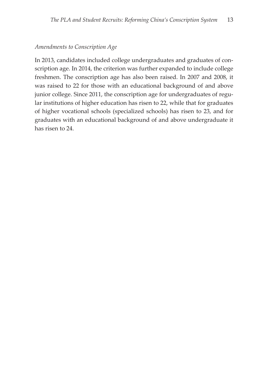#### *Amendments to Conscription Age*

In 2013, candidates included college undergraduates and graduates of conscription age. In 2014, the criterion was further expanded to include college freshmen. The conscription age has also been raised. In 2007 and 2008, it was raised to 22 for those with an educational background of and above junior college. Since 2011, the conscription age for undergraduates of regular institutions of higher education has risen to 22, while that for graduates of higher vocational schools (specialized schools) has risen to 23, and for graduates with an educational background of and above undergraduate it has risen to 24.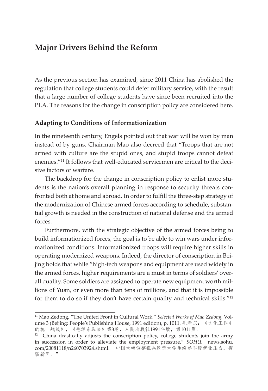## **Major Drivers Behind the Reform**

As the previous section has examined, since 2011 China has abolished the regulation that college students could defer military service, with the result that a large number of college students have since been recruited into the PLA. The reasons for the change in conscription policy are considered here.

#### **Adapting to Conditions of Informationization**

In the nineteenth century, Engels pointed out that war will be won by man instead of by guns. Chairman Mao also decreed that "Troops that are not armed with culture are the stupid ones, and stupid troops cannot defeat enemies."11 It follows that well-educated servicemen are critical to the decisive factors of warfare.

The backdrop for the change in conscription policy to enlist more students is the nation's overall planning in response to security threats confronted both at home and abroad. In order to fulfill the three-step strategy of the modernization of Chinese armed forces according to schedule, substantial growth is needed in the construction of national defense and the armed forces.

Furthermore, with the strategic objective of the armed forces being to build informationized forces, the goal is to be able to win wars under informationized conditions. Informationized troops will require higher skills in operating modernized weapons. Indeed, the director of conscription in Beijing holds that while "high-tech weapons and equipment are used widely in the armed forces, higher requirements are a must in terms of soldiers' overall quality. Some soldiers are assigned to operate new equipment worth millions of Yuan, or even more than tens of millions, and that it is impossible for them to do so if they don't have certain quality and technical skills."12

<sup>11</sup> Mao Zedong, "The United Front in Cultural Work," *Selected Works of Mao Zedong*, Volume 3 (Beijing: People's Publishing House, 1991 edition), p. 1011. 毛泽东:《文化工作中 的统一战线》,《毛泽东选集》第3卷,人民出版社1991年版,第1011页。

<sup>&</sup>lt;sup>12</sup> "China drastically adjusts the conscription policy, college students join the army in succession in order to alleviate the employment pressure," *SOHU*, news.sohu. com/20081118/n260703924.shtml. 中国大幅调整征兵政策大学生纷参军缓就业压力,搜 狐新闻。"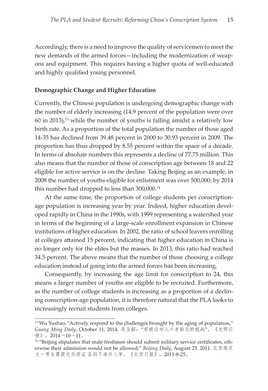Accordingly, there is a need to improve the quality of servicemen to meet the new demands of the armed forces—including the modernization of weapons and equipment. This requires having a higher quota of well-educated and highly qualified young personnel.

#### **Demographic Change and Higher Education**

Currently, the Chinese population is undergoing demographic change with the number of elderly increasing (14.9 percent of the population were over  $60$  in 2013),<sup>13</sup> while the number of youths is falling amidst a relatively low birth rate. As a proportion of the total population the number of those aged 14-35 has declined from 39.48 percent in 2000 to 30.93 percent in 2009. The proportion has thus dropped by 8.55 percent within the space of a decade. In terms of absolute numbers this represents a decline of 77.75 million. This also means that the number of those of conscription age between 18 and 22 eligible for active service is on the decline. Taking Beijing as an example, in 2008 the number of youths eligible for enlistment was over 500,000; by 2014 this number had dropped to less than 300,000.14

At the same time, the proportion of college students per conscriptionage population is increasing year by year. Indeed, higher education developed rapidly in China in the 1990s, with 1999 representing a watershed year in terms of the beginning of a large-scale enrollment expansion in Chinese institutions of higher education. In 2002, the ratio of school leavers enrolling at colleges attained 15 percent, indicating that higher education in China is no longer only for the elites but the masses. In 2013, this ratio had reached 34.5 percent. The above means that the number of those choosing a college education instead of going into the armed forces has been increasing.

Consequently, by increasing the age limit for conscription to 24, this means a larger number of youths are eligible to be recruited. Furthermore, as the number of college students is increasing as a proportion of a declining conscription-age population, it is therefore natural that the PLA looks to increasingly recruit students from colleges.

<sup>&</sup>lt;sup>13</sup> Wu Yushao, "Actively respond to the challenges brought by the aging of population," *Guang Ming Daily*, October 11, 2014. 吴玉韶:"积极应对人口老龄化的挑战",《光明日 报》,2014-10-11。

<sup>&</sup>lt;sup>14</sup> "Beijing stipulates that male freshmen should submit military service certificates, otherwise their admission would not be allowed," *Beijing Daily*, August 25, 2011. 北京规定 大一男生需提交兵役证 否则不准许入学,《北京日报》,2011-8-25。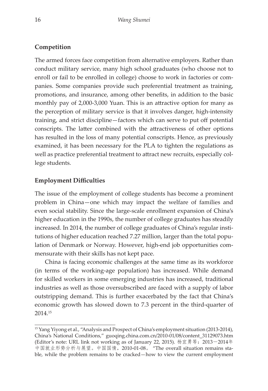#### **Competition**

The armed forces face competition from alternative employers. Rather than conduct military service, many high school graduates (who choose not to enroll or fail to be enrolled in college) choose to work in factories or companies. Some companies provide such preferential treatment as training, promotions, and insurance, among other benefits, in addition to the basic monthly pay of 2,000-3,000 Yuan. This is an attractive option for many as the perception of military service is that it involves danger, high-intensity training, and strict discipline—factors which can serve to put off potential conscripts. The latter combined with the attractiveness of other options has resulted in the loss of many potential conscripts. Hence, as previously examined, it has been necessary for the PLA to tighten the regulations as well as practice preferential treatment to attract new recruits, especially college students.

#### **Employment Difficulties**

The issue of the employment of college students has become a prominent problem in China—one which may impact the welfare of families and even social stability. Since the large-scale enrollment expansion of China's higher education in the 1990s, the number of college graduates has steadily increased. In 2014, the number of college graduates of China's regular institutions of higher education reached 7.27 million, larger than the total population of Denmark or Norway. However, high-end job opportunities commensurate with their skills has not kept pace.

China is facing economic challenges at the same time as its workforce (in terms of the working-age population) has increased. While demand for skilled workers in some emerging industries has increased, traditional industries as well as those oversubscribed are faced with a supply of labor outstripping demand. This is further exacerbated by the fact that China's economic growth has slowed down to 7.3 percent in the third-quarter of 2014.15

<sup>&</sup>lt;sup>15</sup> Yang Yiyong et al., "Analysis and Prospect of China's employment situation (2013-2014), China's National Conditions," guoqing.china.com.cn/2010-01/08/content\_31129073.htm (Editor's note: URL link not working as of January 22, 2015). 杨宜勇等:2013-2014年 中国就业形势分析与展望。中国国情,2010-01-08。 "The overall situation remains stable, while the problem remains to be cracked—how to view the current employment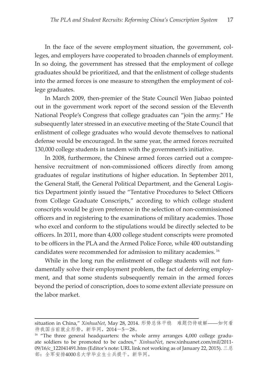In the face of the severe employment situation, the government, colleges, and employers have cooperated to broaden channels of employment. In so doing, the government has stressed that the employment of college graduates should be prioritized, and that the enlistment of college students into the armed forces is one measure to strengthen the employment of college graduates.

In March 2009, then-premier of the State Council Wen Jiabao pointed out in the government work report of the second session of the Eleventh National People's Congress that college graduates can "join the army." He subsequently later stressed in an executive meeting of the State Council that enlistment of college graduates who would devote themselves to national defense would be encouraged. In the same year, the armed forces recruited 130,000 college students in tandem with the government's initiative.

In 2008, furthermore, the Chinese armed forces carried out a comprehensive recruitment of non-commissioned officers directly from among graduates of regular institutions of higher education. In September 2011, the General Staff, the General Political Department, and the General Logistics Department jointly issued the "Tentative Procedures to Select Officers from College Graduate Conscripts," according to which college student conscripts would be given preference in the selection of non-commissioned officers and in registering to the examinations of military academies. Those who excel and conform to the stipulations would be directly selected to be officers. In 2011, more than 4,000 college student conscripts were promoted to be officers in the PLA and the Armed Police Force, while 400 outstanding candidates were recommended for admission to military academies. 16

While in the long run the enlistment of college students will not fundamentally solve their employment problem, the fact of deferring employment, and that some students subsequently remain in the armed forces beyond the period of conscription, does to some extent alleviate pressure on the labor market.

situation in China," *XinhuaNet*, May 28, 2014. 形势总体平稳 难题仍待破解――如何看 待我国当前就业形势,新华网,2014-5-28。

<sup>&</sup>lt;sup>16</sup> "The three general headquarters: the whole army arranges 4,000 college graduate soldiers to be promoted to be cadres," *XinhuaNet*, new.xinhuanet.com/mil/2011- 09/16/c\_122041491.htm (Editor's note: URL link not working as of January 22, 2015). 三总 部:全军安排4000名大学毕业生士兵提干。新华网。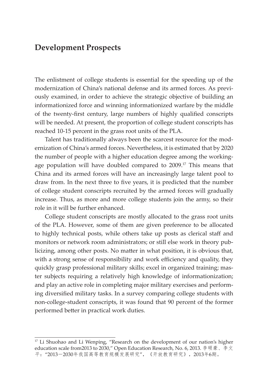## **Development Prospects**

The enlistment of college students is essential for the speeding up of the modernization of China's national defense and its armed forces. As previously examined, in order to achieve the strategic objective of building an informationized force and winning informationized warfare by the middle of the twenty-first century, large numbers of highly qualified conscripts will be needed. At present, the proportion of college student conscripts has reached 10-15 percent in the grass root units of the PLA.

Talent has traditionally always been the scarcest resource for the modernization of China's armed forces. Nevertheless, it is estimated that by 2020 the number of people with a higher education degree among the workingage population will have doubled compared to 2009.<sup>17</sup> This means that China and its armed forces will have an increasingly large talent pool to draw from. In the next three to five years, it is predicted that the number of college student conscripts recruited by the armed forces will gradually increase. Thus, as more and more college students join the army, so their role in it will be further enhanced.

College student conscripts are mostly allocated to the grass root units of the PLA. However, some of them are given preference to be allocated to highly technical posts, while others take up posts as clerical staff and monitors or network room administrators; or still else work in theory publicizing, among other posts. No matter in what position, it is obvious that, with a strong sense of responsibility and work efficiency and quality, they quickly grasp professional military skills; excel in organized training; master subjects requiring a relatively high knowledge of informationization; and play an active role in completing major military exercises and performing diversified military tasks. In a survey comparing college students with non-college-student conscripts, it was found that 90 percent of the former performed better in practical work duties.

<sup>&</sup>lt;sup>17</sup> Li Shuohao and Li Wenping, "Research on the development of our nation's higher education scale from2013 to 2030," Open Education Research, No. 6, 2013. 李硕豪、李文 平:"2013-2030年我国高等教育规模发展研究",《开放教育研究》,2013年6期。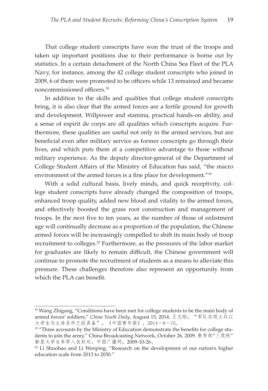That college student conscripts have won the trust of the troops and taken up important positions due to their performance is borne out by statistics. In a certain detachment of the North China Sea Fleet of the PLA Navy, for instance, among the 42 college student conscripts who joined in 2009, 6 of them were promoted to be officers while 13 remained and became noncommissioned officers.<sup>18</sup>

In addition to the skills and qualities that college student conscripts bring, it is also clear that the armed forces are a fertile ground for growth and development. Willpower and stamina, practical hands-on ability, and a sense of espirit de corps are all qualities which conscripts acquire. Furthermore, these qualities are useful not only in the armed services, but are beneficial even after military service as former conscripts go through their lives, and which puts them at a competitive advantage to those without military experience. As the deputy director-general of the Department of College Student Affairs of the Ministry of Education has said, "the macro environment of the armed forces is a fine place for development."<sup>19</sup>

With a solid cultural basis, lively minds, and quick receptivity, college student conscripts have already changed the composition of troops, enhanced troop quality, added new blood and vitality to the armed forces, and effectively boosted the grass root construction and management of troops. In the next five to ten years, as the number of those of enlistment age will continually decrease as a proportion of the population, the Chinese armed forces will be increasingly compelled to shift its main body of troop recruitment to colleges.20 Furthermore, as the pressures of the labor market for graduates are likely to remain difficult, the Chinese government will continue to promote the recruitment of students as a means to alleviate this pressure. These challenges therefore also represent an opportunity from which the PLA can benefit.

<sup>&</sup>lt;sup>18</sup> Wang Zhigang, "Conditions have been met for college students to be the main body of armed forces' soldiers," *China Youth Daily*, August 15, 2014. 王志刚:"军队实现士兵以 大学生为主体条件已经具备",《中国青年报》,2014-8-15。

 $19$  "Three accounts by the Ministry of Education demonstrate the benefits for college students to join the army," China Broadcasting Network, October 26, 2009. 教育部"三笔帐" 彰显大学生参军入伍好处,中国广播网,2009-10-26。

 $20$  Li Shuohao and Li Wenping, "Research on the development of our nation's higher education scale from 2013 to 2030."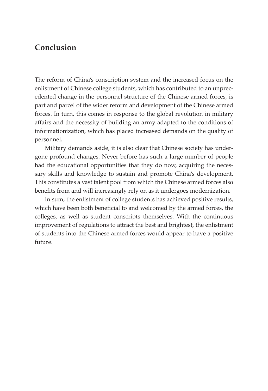## **Conclusion**

The reform of China's conscription system and the increased focus on the enlistment of Chinese college students, which has contributed to an unprecedented change in the personnel structure of the Chinese armed forces, is part and parcel of the wider reform and development of the Chinese armed forces. In turn, this comes in response to the global revolution in military affairs and the necessity of building an army adapted to the conditions of informationization, which has placed increased demands on the quality of personnel.

Military demands aside, it is also clear that Chinese society has undergone profound changes. Never before has such a large number of people had the educational opportunities that they do now, acquiring the necessary skills and knowledge to sustain and promote China's development. This constitutes a vast talent pool from which the Chinese armed forces also benefits from and will increasingly rely on as it undergoes modernization.

In sum, the enlistment of college students has achieved positive results, which have been both beneficial to and welcomed by the armed forces, the colleges, as well as student conscripts themselves. With the continuous improvement of regulations to attract the best and brightest, the enlistment of students into the Chinese armed forces would appear to have a positive future.